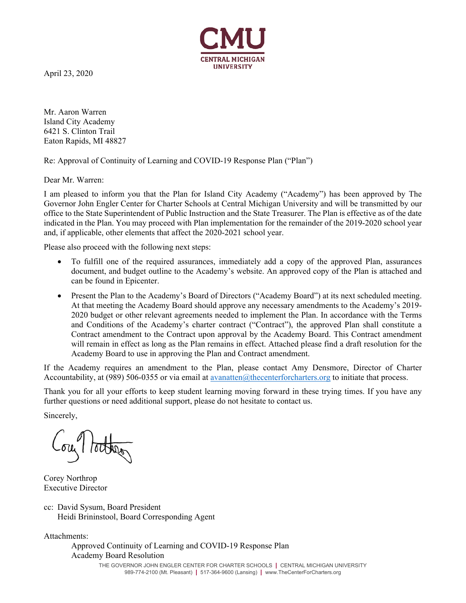

April 23, 2020

Mr. Aaron Warren Island City Academy 6421 S. Clinton Trail Eaton Rapids, MI 48827

Re: Approval of Continuity of Learning and COVID-19 Response Plan ("Plan")

Dear Mr. Warren:

I am pleased to inform you that the Plan for Island City Academy ("Academy") has been approved by The Governor John Engler Center for Charter Schools at Central Michigan University and will be transmitted by our office to the State Superintendent of Public Instruction and the State Treasurer. The Plan is effective as of the date indicated in the Plan. You may proceed with Plan implementation for the remainder of the 2019-2020 school year and, if applicable, other elements that affect the 2020-2021 school year.

Please also proceed with the following next steps:

- To fulfill one of the required assurances, immediately add a copy of the approved Plan, assurances document, and budget outline to the Academy's website. An approved copy of the Plan is attached and can be found in Epicenter.
- Present the Plan to the Academy's Board of Directors ("Academy Board") at its next scheduled meeting. At that meeting the Academy Board should approve any necessary amendments to the Academy's 2019- 2020 budget or other relevant agreements needed to implement the Plan. In accordance with the Terms and Conditions of the Academy's charter contract ("Contract"), the approved Plan shall constitute a Contract amendment to the Contract upon approval by the Academy Board. This Contract amendment will remain in effect as long as the Plan remains in effect. Attached please find a draft resolution for the Academy Board to use in approving the Plan and Contract amendment.

If the Academy requires an amendment to the Plan, please contact Amy Densmore, Director of Charter Accountability, at (989) 506-0355 or via email at avanatten@thecenterforcharters.org to initiate that process.

Thank you for all your efforts to keep student learning moving forward in these trying times. If you have any further questions or need additional support, please do not hesitate to contact us.

Sincerely,

ou tother

Corey Northrop Executive Director

cc: David Sysum, Board President Heidi Brininstool, Board Corresponding Agent

Attachments:

 Approved Continuity of Learning and COVID-19 Response Plan Academy Board Resolution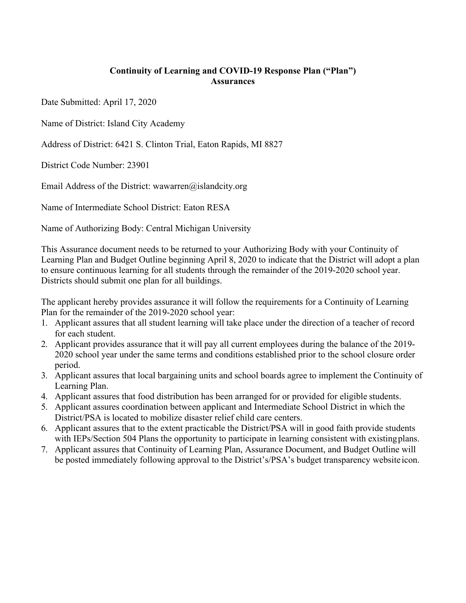## **Continuity of Learning and COVID-19 Response Plan ("Plan") Assurances**

Date Submitted: April 17, 2020

Name of District: Island City Academy

Address of District: 6421 S. Clinton Trial, Eaton Rapids, MI 8827

District Code Number: 23901

Email Address of the District: wawarren@islandcity.org

Name of Intermediate School District: Eaton RESA

Name of Authorizing Body: Central Michigan University

This Assurance document needs to be returned to your Authorizing Body with your Continuity of Learning Plan and Budget Outline beginning April 8, 2020 to indicate that the District will adopt a plan to ensure continuous learning for all students through the remainder of the 2019-2020 school year. Districts should submit one plan for all buildings.

The applicant hereby provides assurance it will follow the requirements for a Continuity of Learning Plan for the remainder of the 2019-2020 school year:

- 1. Applicant assures that all student learning will take place under the direction of a teacher of record for each student.
- 2. Applicant provides assurance that it will pay all current employees during the balance of the 2019- 2020 school year under the same terms and conditions established prior to the school closure order period.
- 3. Applicant assures that local bargaining units and school boards agree to implement the Continuity of Learning Plan.
- 4. Applicant assures that food distribution has been arranged for or provided for eligible students.
- 5. Applicant assures coordination between applicant and Intermediate School District in which the District/PSA is located to mobilize disaster relief child care centers.
- 6. Applicant assures that to the extent practicable the District/PSA will in good faith provide students with IEPs/Section 504 Plans the opportunity to participate in learning consistent with existing plans.
- 7. Applicant assures that Continuity of Learning Plan, Assurance Document, and Budget Outline will be posted immediately following approval to the District's/PSA's budget transparency website icon.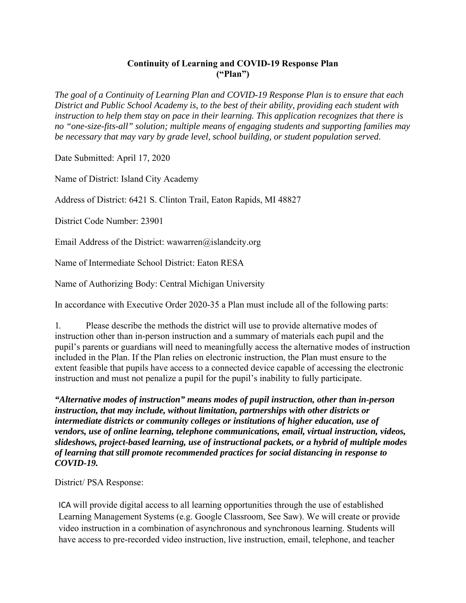## **Continuity of Learning and COVID-19 Response Plan ("Plan")**

*The goal of a Continuity of Learning Plan and COVID-19 Response Plan is to ensure that each District and Public School Academy is, to the best of their ability, providing each student with instruction to help them stay on pace in their learning. This application recognizes that there is no "one-size-fits-all" solution; multiple means of engaging students and supporting families may be necessary that may vary by grade level, school building, or student population served.* 

Date Submitted: April 17, 2020

Name of District: Island City Academy

Address of District: 6421 S. Clinton Trail, Eaton Rapids, MI 48827

District Code Number: 23901

Email Address of the District: wawarren@islandcity.org

Name of Intermediate School District: Eaton RESA

Name of Authorizing Body: Central Michigan University

In accordance with Executive Order 2020-35 a Plan must include all of the following parts:

1. Please describe the methods the district will use to provide alternative modes of instruction other than in-person instruction and a summary of materials each pupil and the pupil's parents or guardians will need to meaningfully access the alternative modes of instruction included in the Plan. If the Plan relies on electronic instruction, the Plan must ensure to the extent feasible that pupils have access to a connected device capable of accessing the electronic instruction and must not penalize a pupil for the pupil's inability to fully participate.

*"Alternative modes of instruction" means modes of pupil instruction, other than in-person instruction, that may include, without limitation, partnerships with other districts or intermediate districts or community colleges or institutions of higher education, use of vendors, use of online learning, telephone communications, email, virtual instruction, videos, slideshows, project-based learning, use of instructional packets, or a hybrid of multiple modes of learning that still promote recommended practices for social distancing in response to COVID-19.* 

District/ PSA Response:

ICA will provide digital access to all learning opportunities through the use of established Learning Management Systems (e.g. Google Classroom, See Saw). We will create or provide video instruction in a combination of asynchronous and synchronous learning. Students will have access to pre-recorded video instruction, live instruction, email, telephone, and teacher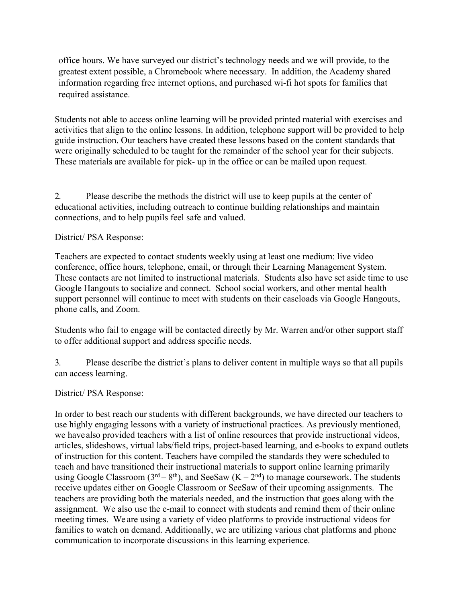office hours. We have surveyed our district's technology needs and we will provide, to the greatest extent possible, a Chromebook where necessary. In addition, the Academy shared information regarding free internet options, and purchased wi-fi hot spots for families that required assistance.

Students not able to access online learning will be provided printed material with exercises and activities that align to the online lessons. In addition, telephone support will be provided to help guide instruction. Our teachers have created these lessons based on the content standards that were originally scheduled to be taught for the remainder of the school year for their subjects. These materials are available for pick- up in the office or can be mailed upon request.

2. Please describe the methods the district will use to keep pupils at the center of educational activities, including outreach to continue building relationships and maintain connections, and to help pupils feel safe and valued.

District/ PSA Response:

Teachers are expected to contact students weekly using at least one medium: live video conference, office hours, telephone, email, or through their Learning Management System. These contacts are not limited to instructional materials. Students also have set aside time to use Google Hangouts to socialize and connect. School social workers, and other mental health support personnel will continue to meet with students on their caseloads via Google Hangouts, phone calls, and Zoom.

Students who fail to engage will be contacted directly by Mr. Warren and/or other support staff to offer additional support and address specific needs.

3. Please describe the district's plans to deliver content in multiple ways so that all pupils can access learning.

District/ PSA Response:

In order to best reach our students with different backgrounds, we have directed our teachers to use highly engaging lessons with a variety of instructional practices. As previously mentioned, we have also provided teachers with a list of online resources that provide instructional videos, articles, slideshows, virtual labs/field trips, project-based learning, and e-books to expand outlets of instruction for this content. Teachers have compiled the standards they were scheduled to teach and have transitioned their instructional materials to support online learning primarily using Google Classroom ( $3^{rd} - 8^{th}$ ), and SeeSaw (K –  $2^{nd}$ ) to manage coursework. The students receive updates either on Google Classroom or SeeSaw of their upcoming assignments. The teachers are providing both the materials needed, and the instruction that goes along with the assignment. We also use the e-mail to connect with students and remind them of their online meeting times. We are using a variety of video platforms to provide instructional videos for families to watch on demand. Additionally, we are utilizing various chat platforms and phone communication to incorporate discussions in this learning experience.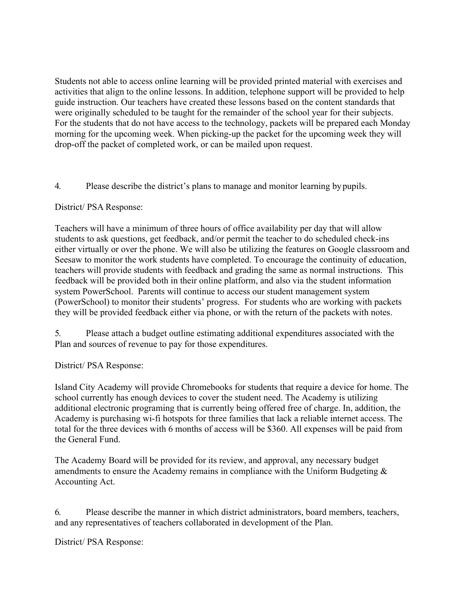Students not able to access online learning will be provided printed material with exercises and activities that align to the online lessons. In addition, telephone support will be provided to help guide instruction. Our teachers have created these lessons based on the content standards that were originally scheduled to be taught for the remainder of the school year for their subjects. For the students that do not have access to the technology, packets will be prepared each Monday morning for the upcoming week. When picking-up the packet for the upcoming week they will drop-off the packet of completed work, or can be mailed upon request.

4. Please describe the district's plans to manage and monitor learning by pupils.

#### District/ PSA Response:

Teachers will have a minimum of three hours of office availability per day that will allow students to ask questions, get feedback, and/or permit the teacher to do scheduled check-ins either virtually or over the phone. We will also be utilizing the features on Google classroom and Seesaw to monitor the work students have completed. To encourage the continuity of education, teachers will provide students with feedback and grading the same as normal instructions. This feedback will be provided both in their online platform, and also via the student information system PowerSchool. Parents will continue to access our student management system (PowerSchool) to monitor their students' progress. For students who are working with packets they will be provided feedback either via phone, or with the return of the packets with notes.

5. Please attach a budget outline estimating additional expenditures associated with the Plan and sources of revenue to pay for those expenditures.

District/ PSA Response:

Island City Academy will provide Chromebooks for students that require a device for home. The school currently has enough devices to cover the student need. The Academy is utilizing additional electronic programing that is currently being offered free of charge. In, addition, the Academy is purchasing wi-fi hotspots for three families that lack a reliable internet access. The total for the three devices with 6 months of access will be \$360. All expenses will be paid from the General Fund.

The Academy Board will be provided for its review, and approval, any necessary budget amendments to ensure the Academy remains in compliance with the Uniform Budgeting & Accounting Act.

6. Please describe the manner in which district administrators, board members, teachers, and any representatives of teachers collaborated in development of the Plan.

District/ PSA Response: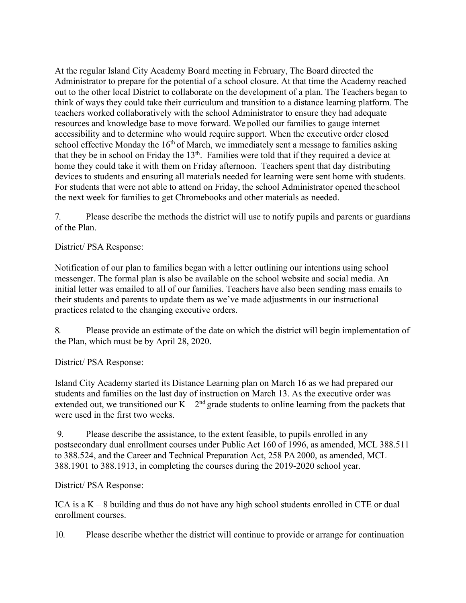At the regular Island City Academy Board meeting in February, The Board directed the Administrator to prepare for the potential of a school closure. At that time the Academy reached out to the other local District to collaborate on the development of a plan. The Teachers began to think of ways they could take their curriculum and transition to a distance learning platform. The teachers worked collaboratively with the school Administrator to ensure they had adequate resources and knowledge base to move forward. We polled our families to gauge internet accessibility and to determine who would require support. When the executive order closed school effective Monday the  $16<sup>th</sup>$  of March, we immediately sent a message to families asking that they be in school on Friday the 13<sup>th</sup>. Families were told that if they required a device at home they could take it with them on Friday afternoon. Teachers spent that day distributing devices to students and ensuring all materials needed for learning were sent home with students. For students that were not able to attend on Friday, the school Administrator opened the school the next week for families to get Chromebooks and other materials as needed.

7. Please describe the methods the district will use to notify pupils and parents or guardians of the Plan.

District/ PSA Response:

Notification of our plan to families began with a letter outlining our intentions using school messenger. The formal plan is also be available on the school website and social media. An initial letter was emailed to all of our families. Teachers have also been sending mass emails to their students and parents to update them as we've made adjustments in our instructional practices related to the changing executive orders.

8. Please provide an estimate of the date on which the district will begin implementation of the Plan, which must be by April 28, 2020.

District/ PSA Response:

Island City Academy started its Distance Learning plan on March 16 as we had prepared our students and families on the last day of instruction on March 13. As the executive order was extended out, we transitioned our  $\dot{K} - 2^{nd}$  grade students to online learning from the packets that were used in the first two weeks.

9. Please describe the assistance, to the extent feasible, to pupils enrolled in any postsecondary dual enrollment courses under Public Act 160 of 1996, as amended, MCL 388.511 to 388.524, and the Career and Technical Preparation Act, 258 PA 2000, as amended, MCL 388.1901 to 388.1913, in completing the courses during the 2019-2020 school year.

District/ PSA Response:

ICA is a  $K - 8$  building and thus do not have any high school students enrolled in CTE or dual enrollment courses.

10. Please describe whether the district will continue to provide or arrange for continuation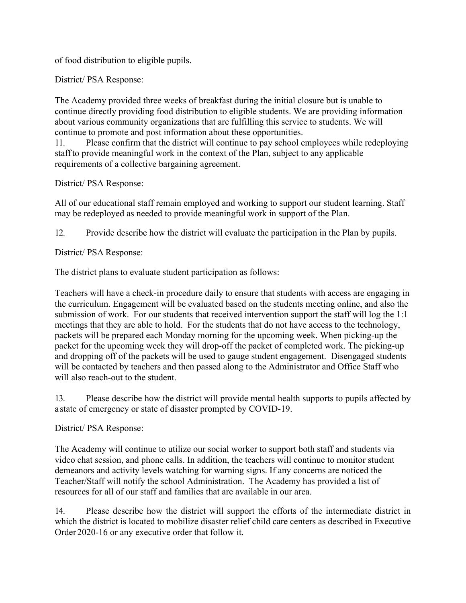of food distribution to eligible pupils.

District/ PSA Response:

The Academy provided three weeks of breakfast during the initial closure but is unable to continue directly providing food distribution to eligible students. We are providing information about various community organizations that are fulfilling this service to students. We will continue to promote and post information about these opportunities.

11. Please confirm that the district will continue to pay school employees while redeploying staff to provide meaningful work in the context of the Plan, subject to any applicable requirements of a collective bargaining agreement.

District/ PSA Response:

All of our educational staff remain employed and working to support our student learning. Staff may be redeployed as needed to provide meaningful work in support of the Plan.

12. Provide describe how the district will evaluate the participation in the Plan by pupils.

District/ PSA Response:

The district plans to evaluate student participation as follows:

Teachers will have a check-in procedure daily to ensure that students with access are engaging in the curriculum. Engagement will be evaluated based on the students meeting online, and also the submission of work. For our students that received intervention support the staff will log the 1:1 meetings that they are able to hold. For the students that do not have access to the technology, packets will be prepared each Monday morning for the upcoming week. When picking-up the packet for the upcoming week they will drop-off the packet of completed work. The picking-up and dropping off of the packets will be used to gauge student engagement. Disengaged students will be contacted by teachers and then passed along to the Administrator and Office Staff who will also reach-out to the student.

13. Please describe how the district will provide mental health supports to pupils affected by a state of emergency or state of disaster prompted by COVID-19.

District/ PSA Response:

The Academy will continue to utilize our social worker to support both staff and students via video chat session, and phone calls. In addition, the teachers will continue to monitor student demeanors and activity levels watching for warning signs. If any concerns are noticed the Teacher/Staff will notify the school Administration. The Academy has provided a list of resources for all of our staff and families that are available in our area.

14. Please describe how the district will support the efforts of the intermediate district in which the district is located to mobilize disaster relief child care centers as described in Executive Order 2020-16 or any executive order that follow it.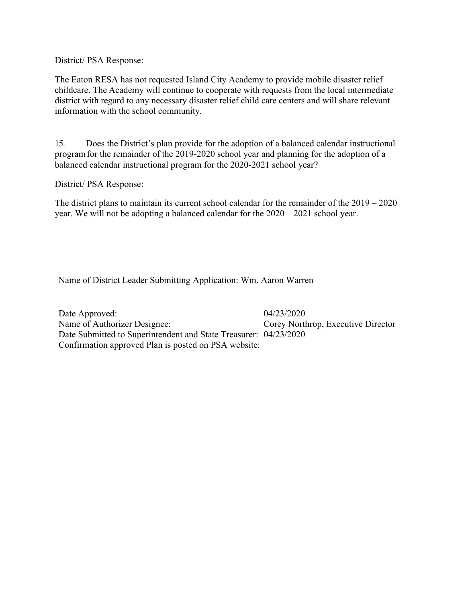District/ PSA Response:

The Eaton RESA has not requested Island City Academy to provide mobile disaster relief childcare. The Academy will continue to cooperate with requests from the local intermediate district with regard to any necessary disaster relief child care centers and will share relevant information with the school community.

15. Does the District's plan provide for the adoption of a balanced calendar instructional program for the remainder of the 2019-2020 school year and planning for the adoption of a balanced calendar instructional program for the 2020-2021 school year?

District/ PSA Response:

The district plans to maintain its current school calendar for the remainder of the 2019 – 2020 year. We will not be adopting a balanced calendar for the 2020 – 2021 school year.

Name of District Leader Submitting Application: Wm. Aaron Warren

Date Approved: 04/23/2020 Name of Authorizer Designee: Corey Northrop, Executive Director Date Submitted to Superintendent and State Treasurer: 04/23/2020 Confirmation approved Plan is posted on PSA website: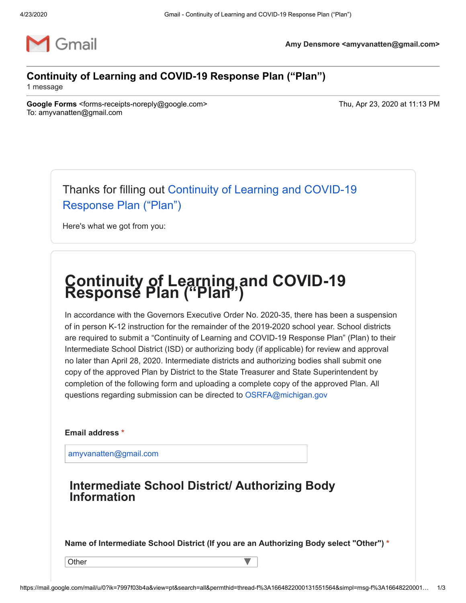

**Amy Densmore <amyvanatten@gmail.com>**

## **Continuity of Learning and COVID-19 Response Plan ("Plan")**

1 message

**Google Forms** <forms-receipts-noreply@google.com> Thu, Apr 23, 2020 at 11:13 PM To: amyvanatten@gmail.com

[Thanks for filling out Continuity of Learning and COVID-19](https://docs.google.com/forms/d/e/1FAIpQLSdU5AH6Z7Zy7AV5b0VPT63G6IK-9vVwWEbqJtmIg1W7oEYLNQ/viewform?pli=1&usp=mail_form_link) Response Plan ("Plan")

Here's what we got from you:

# **Continuity of Learning and COVID-19 Response Plan ("Plan")**

In accordance with the Governors Executive Order No. 2020-35, there has been a suspension of in person K-12 instruction for the remainder of the 2019-2020 school year. School districts are required to submit a "Continuity of Learning and COVID-19 Response Plan" (Plan) to their Intermediate School District (ISD) or authorizing body (if applicable) for review and approval no later than April 28, 2020. Intermediate districts and authorizing bodies shall submit one copy of the approved Plan by District to the State Treasurer and State Superintendent by completion of the following form and uploading a complete copy of the approved Plan. All questions regarding submission can be directed to [OSRFA@michigan.gov](mailto:OSRFA@michigan.gov)

**Email address \***

[amyvanatten@gmail.com](mailto:amyvanatten@gmail.com)

## **Intermediate School District/ Authorizing Body Information**

**Name of Intermediate School District (If you are an Authorizing Body select "Other") \***

**Other** 

 $\overline{\mathsf{v}}$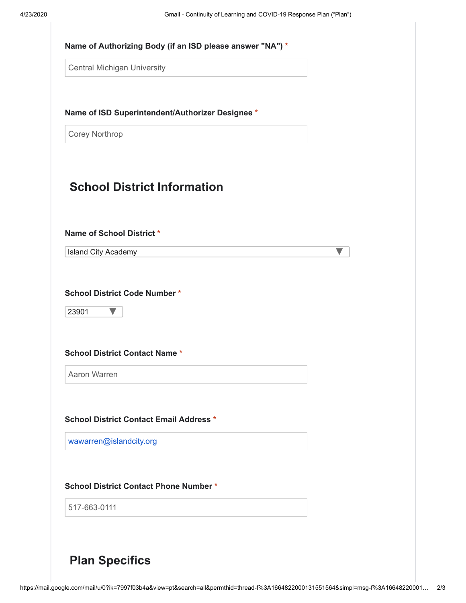| <b>Central Michigan University</b>                                                                                 |                                                  |  |
|--------------------------------------------------------------------------------------------------------------------|--------------------------------------------------|--|
|                                                                                                                    | Name of ISD Superintendent/Authorizer Designee * |  |
| <b>Corey Northrop</b>                                                                                              |                                                  |  |
|                                                                                                                    | <b>School District Information</b>               |  |
| Name of School District *<br>Island City Academy                                                                   |                                                  |  |
| 23901                                                                                                              |                                                  |  |
|                                                                                                                    |                                                  |  |
| Aaron Warren                                                                                                       |                                                  |  |
|                                                                                                                    |                                                  |  |
| <b>School District Contact Name *</b><br><b>School District Contact Email Address *</b><br>wawarren@islandcity.org |                                                  |  |
|                                                                                                                    | <b>School District Contact Phone Number *</b>    |  |